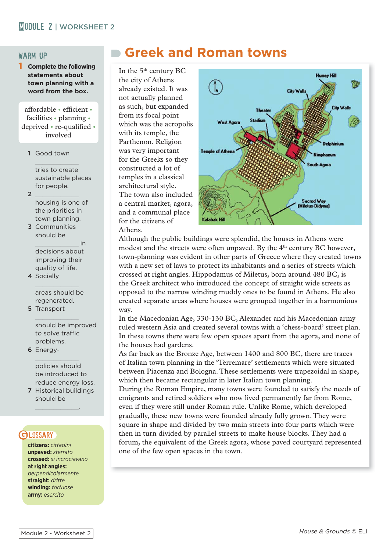#### warm up

**Complete the following statements about town planning with a word from the box.**

affordable • efficient • facilities • planning • deprived • re-qualified • involved

1 Good town

tries to create sustainable places for people.

- 
- 2  $\frac{2}{2}$ housing is one of the priorities in town planning.
- 3 Communities should be \_\_\_\_\_\_\_\_\_\_\_\_ in decisions about

improving their quality of life.

4 Socially

areas should be regenerated.

5 Transport

should be improved to solve traffic problems.

6 Energy-

policies should be introduced to reduce energy loss.

7 Historical buildings should be

 $\overline{\phantom{a}}$  , where  $\overline{\phantom{a}}$ 

# **GI DSSARY**

**citizens:** *cittadini* **unpaved:** *sterrato* **crossed:** *si incrociavano* **at right angles:**  *perpendicolarmente* **straight:** *dritte* **winding:** *tortuose* **army:** *esercito*

# **Greek and Roman towns**

In the 5<sup>th</sup> century BC the city of Athens already existed. It was not actually planned as such, but expanded from its focal point which was the acropolis with its temple, the Parthenon. Religion was very important for the Greeks so they constructed a lot of temples in a classical architectural style. The town also included a central market, agora, and a communal place for the citizens of Athens.



Although the public buildings were splendid, the houses in Athens were modest and the streets were often unpaved. By the  $4<sup>th</sup>$  century BC however, town-planning was evident in other parts of Greece where they created towns with a new set of laws to protect its inhabitants and a series of streets which crossed at right angles. Hippodamus of Miletus, born around 480 BC, is the Greek architect who introduced the concept of straight wide streets as opposed to the narrow winding muddy ones to be found in Athens. He also created separate areas where houses were grouped together in a harmonious way.

In the Macedonian Age, 330-130 BC, Alexander and his Macedonian army ruled western Asia and created several towns with a 'chess-board' street plan. In these towns there were few open spaces apart from the agora, and none of the houses had gardens.

As far back as the Bronze Age, between 1400 and 800 BC, there are traces of Italian town planning in the 'Terremare' settlements which were situated between Piacenza and Bologna. These settlements were trapezoidal in shape, which then became rectangular in later Italian town planning.

During the Roman Empire, many towns were founded to satisfy the needs of emigrants and retired soldiers who now lived permanently far from Rome, even if they were still under Roman rule. Unlike Rome, which developed gradually, these new towns were founded already fully grown. They were square in shape and divided by two main streets into four parts which were then in turn divided by parallel streets to make house blocks. They had a forum, the equivalent of the Greek agora, whose paved courtyard represented one of the few open spaces in the town.